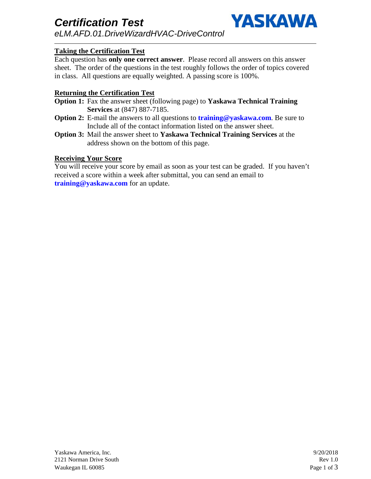

## **Taking the Certification Test**

Each question has **only one correct answer**. Please record all answers on this answer sheet. The order of the questions in the test roughly follows the order of topics covered in class. All questions are equally weighted. A passing score is 100%.

### **Returning the Certification Test**

- **Option 1:** Fax the answer sheet (following page) to **Yaskawa Technical Training Services** at (847) 887-7185.
- **Option 2:** E-mail the answers to all questions to **training@yaskawa.com**. Be sure to Include all of the contact information listed on the answer sheet.
- **Option 3:** Mail the answer sheet to **Yaskawa Technical Training Services** at the address shown on the bottom of this page.

### **Receiving Your Score**

You will receive your score by email as soon as your test can be graded. If you haven't received a score within a week after submittal, you can send an email to **training@yaskawa.com** for an update.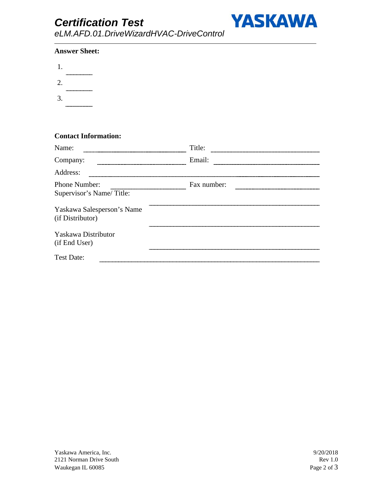# *Certification Test*



*eLM.AFD.01.DriveWizardHVAC-DriveControl*

#### **Answer Sheet:**

| 1. |                       |
|----|-----------------------|
|    | --------------------- |
| 2. | --------------------- |
| 3. |                       |
|    | ------------------    |

## **Contact Information:**

| Name:                                          | Title:      |  |
|------------------------------------------------|-------------|--|
| Company:                                       | Email:      |  |
| Address:                                       |             |  |
| Phone Number:<br>Supervisor's Name/Title:      | Fax number: |  |
| Yaskawa Salesperson's Name<br>(if Distributor) |             |  |
| Yaskawa Distributor<br>(if End User)           |             |  |
| <b>Test Date:</b>                              |             |  |